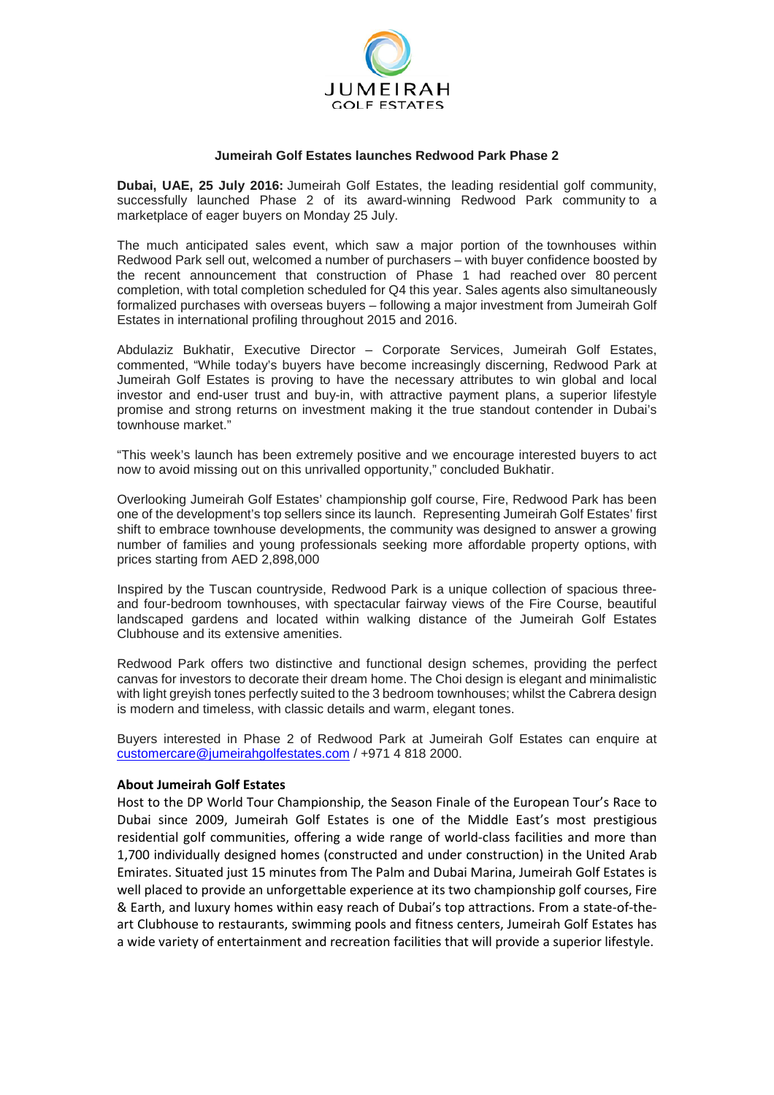

## **Jumeirah Golf Estates launches Redwood Park Phase 2**

**Dubai, UAE, 25 July 2016:** Jumeirah Golf Estates, the leading residential golf community, successfully launched Phase 2 of its award-winning Redwood Park community to a marketplace of eager buyers on Monday 25 July.

The much anticipated sales event, which saw a major portion of the townhouses within Redwood Park sell out, welcomed a number of purchasers – with buyer confidence boosted by the recent announcement that construction of Phase 1 had reached over 80 percent completion, with total completion scheduled for Q4 this year. Sales agents also simultaneously formalized purchases with overseas buyers – following a major investment from Jumeirah Golf Estates in international profiling throughout 2015 and 2016.

Abdulaziz Bukhatir, Executive Director – Corporate Services, Jumeirah Golf Estates, commented, "While today's buyers have become increasingly discerning, Redwood Park at Jumeirah Golf Estates is proving to have the necessary attributes to win global and local investor and end-user trust and buy-in, with attractive payment plans, a superior lifestyle promise and strong returns on investment making it the true standout contender in Dubai's townhouse market."

"This week's launch has been extremely positive and we encourage interested buyers to act now to avoid missing out on this unrivalled opportunity," concluded Bukhatir.

Overlooking Jumeirah Golf Estates' championship golf course, Fire, Redwood Park has been one of the development's top sellers since its launch. Representing Jumeirah Golf Estates' first shift to embrace townhouse developments, the community was designed to answer a growing number of families and young professionals seeking more affordable property options, with prices starting from AED 2,898,000

Inspired by the Tuscan countryside, Redwood Park is a unique collection of spacious threeand four-bedroom townhouses, with spectacular fairway views of the Fire Course, beautiful landscaped gardens and located within walking distance of the Jumeirah Golf Estates Clubhouse and its extensive amenities.

Redwood Park offers two distinctive and functional design schemes, providing the perfect canvas for investors to decorate their dream home. The Choi design is elegant and minimalistic with light greyish tones perfectly suited to the 3 bedroom townhouses; whilst the Cabrera design is modern and timeless, with classic details and warm, elegant tones.

Buyers interested in Phase 2 of Redwood Park at Jumeirah Golf Estates can enquire at [customercare@jumeirahgolfestates.com](mailto:customercare@jumeirahgolfestates.com) / +971 4 818 2000.

## **About Jumeirah Golf Estates**

Host to the DP World Tour Championship, the Season Finale of the European Tour's Race to Dubai since 2009, Jumeirah Golf Estates is one of the Middle East's most prestigious residential golf communities, offering a wide range of world-class facilities and more than 1,700 individually designed homes (constructed and under construction) in the United Arab Emirates. Situated just 15 minutes from The Palm and Dubai Marina, Jumeirah Golf Estates is well placed to provide an unforgettable experience at its two championship golf courses, Fire & Earth, and luxury homes within easy reach of Dubai's top attractions. From a state-of-theart Clubhouse to restaurants, swimming pools and fitness centers, Jumeirah Golf Estates has a wide variety of entertainment and recreation facilities that will provide a superior lifestyle.